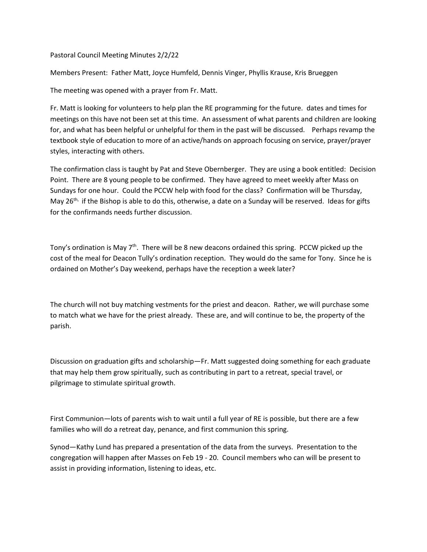Pastoral Council Meeting Minutes 2/2/22

Members Present: Father Matt, Joyce Humfeld, Dennis Vinger, Phyllis Krause, Kris Brueggen

The meeting was opened with a prayer from Fr. Matt.

Fr. Matt is looking for volunteers to help plan the RE programming for the future. dates and times for meetings on this have not been set at this time. An assessment of what parents and children are looking for, and what has been helpful or unhelpful for them in the past will be discussed. Perhaps revamp the textbook style of education to more of an active/hands on approach focusing on service, prayer/prayer styles, interacting with others.

The confirmation class is taught by Pat and Steve Obernberger. They are using a book entitled: Decision Point. There are 8 young people to be confirmed. They have agreed to meet weekly after Mass on Sundays for one hour. Could the PCCW help with food for the class? Confirmation will be Thursday, May 26<sup>th,</sup> if the Bishop is able to do this, otherwise, a date on a Sunday will be reserved. Ideas for gifts for the confirmands needs further discussion.

Tony's ordination is May  $7<sup>th</sup>$ . There will be 8 new deacons ordained this spring. PCCW picked up the cost of the meal for Deacon Tully's ordination reception. They would do the same for Tony. Since he is ordained on Mother's Day weekend, perhaps have the reception a week later?

The church will not buy matching vestments for the priest and deacon. Rather, we will purchase some to match what we have for the priest already. These are, and will continue to be, the property of the parish.

Discussion on graduation gifts and scholarship—Fr. Matt suggested doing something for each graduate that may help them grow spiritually, such as contributing in part to a retreat, special travel, or pilgrimage to stimulate spiritual growth.

First Communion—lots of parents wish to wait until a full year of RE is possible, but there are a few families who will do a retreat day, penance, and first communion this spring.

Synod—Kathy Lund has prepared a presentation of the data from the surveys. Presentation to the congregation will happen after Masses on Feb 19 - 20. Council members who can will be present to assist in providing information, listening to ideas, etc.